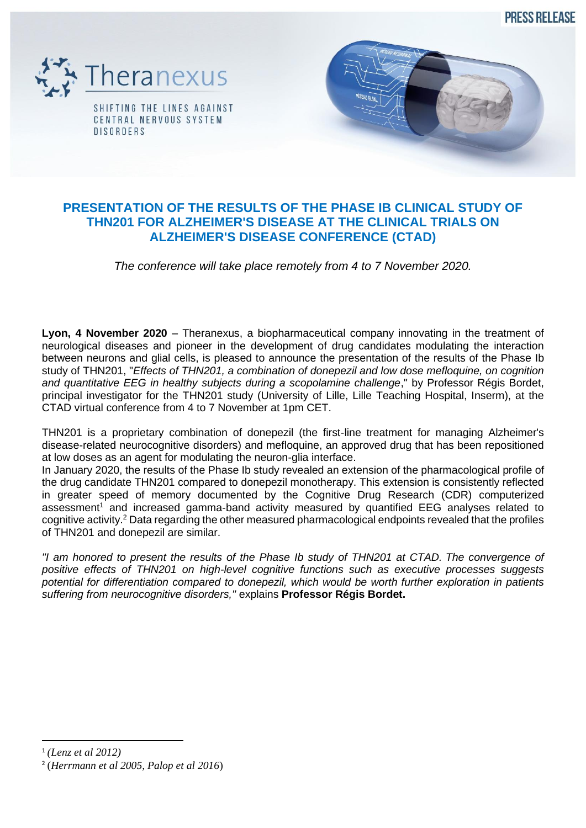**PRESS RELEASE** 



## **PRESENTATION OF THE RESULTS OF THE PHASE IB CLINICAL STUDY OF THN201 FOR ALZHEIMER'S DISEASE AT THE CLINICAL TRIALS ON ALZHEIMER'S DISEASE CONFERENCE (CTAD)**

*The conference will take place remotely from 4 to 7 November 2020.*

**Lyon, 4 November 2020** – Theranexus, a biopharmaceutical company innovating in the treatment of neurological diseases and pioneer in the development of drug candidates modulating the interaction between neurons and glial cells, is pleased to announce the presentation of the results of the Phase Ib study of THN201, "*Effects of THN201, a combination of donepezil and low dose mefloquine, on cognition*  and quantitative EEG in healthy subjects during a scopolamine challenge." by Professor Régis Bordet, principal investigator for the THN201 study (University of Lille, Lille Teaching Hospital, Inserm), at the CTAD virtual conference from 4 to 7 November at 1pm CET.

THN201 is a proprietary combination of donepezil (the first-line treatment for managing Alzheimer's disease-related neurocognitive disorders) and mefloquine, an approved drug that has been repositioned at low doses as an agent for modulating the neuron-glia interface.

In January 2020, the results of the Phase Ib study revealed an extension of the pharmacological profile of the drug candidate THN201 compared to donepezil monotherapy. This extension is consistently reflected in greater speed of memory documented by the Cognitive Drug Research (CDR) computerized assessment<sup>1</sup> and increased gamma-band activity measured by quantified EEG analyses related to cognitive activity.<sup>2</sup> Data regarding the other measured pharmacological endpoints revealed that the profiles of THN201 and donepezil are similar.

*"I am honored to present the results of the Phase Ib study of THN201 at CTAD. The convergence of positive effects of THN201 on high-level cognitive functions such as executive processes suggests potential for differentiation compared to donepezil, which would be worth further exploration in patients suffering from neurocognitive disorders,"* explains **Professor Régis Bordet.**

<sup>1</sup> *(Lenz et al 2012)*

<sup>2</sup> (*Herrmann et al 2005, Palop et al 2016*)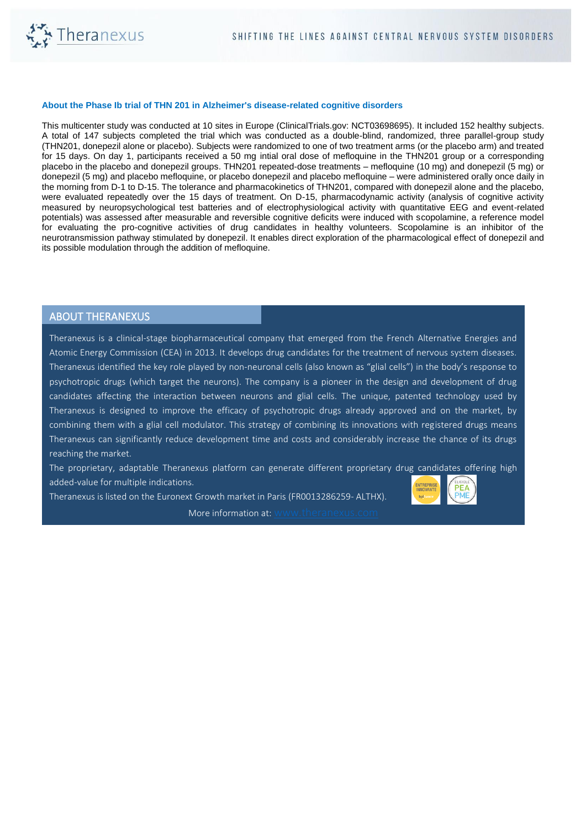

## **About the Phase Ib trial of THN 201 in Alzheimer's disease-related cognitive disorders**

This multicenter study was conducted at 10 sites in Europe (ClinicalTrials.gov: NCT03698695). It included 152 healthy subjects. A total of 147 subjects completed the trial which was conducted as a double-blind, randomized, three parallel-group study (THN201, donepezil alone or placebo). Subjects were randomized to one of two treatment arms (or the placebo arm) and treated for 15 days. On day 1, participants received a 50 mg intial oral dose of mefloquine in the THN201 group or a corresponding placebo in the placebo and donepezil groups. THN201 repeated-dose treatments – mefloquine (10 mg) and donepezil (5 mg) or donepezil (5 mg) and placebo mefloquine, or placebo donepezil and placebo mefloquine – were administered orally once daily in the morning from D-1 to D-15. The tolerance and pharmacokinetics of THN201, compared with donepezil alone and the placebo, were evaluated repeatedly over the 15 days of treatment. On D-15, pharmacodynamic activity (analysis of cognitive activity measured by neuropsychological test batteries and of electrophysiological activity with quantitative EEG and event-related potentials) was assessed after measurable and reversible cognitive deficits were induced with scopolamine, a reference model for evaluating the pro-cognitive activities of drug candidates in healthy volunteers. Scopolamine is an inhibitor of the neurotransmission pathway stimulated by donepezil. It enables direct exploration of the pharmacological effect of donepezil and its possible modulation through the addition of mefloquine.

## ABOUT THERANEXUS

Theranexus is a clinical-stage biopharmaceutical company that emerged from the French Alternative Energies and Atomic Energy Commission (CEA) in 2013. It develops drug candidates for the treatment of nervous system diseases. Theranexus identified the key role played by non-neuronal cells (also known as "glial cells") in the body's response to psychotropic drugs (which target the neurons). The company is a pioneer in the design and development of drug candidates affecting the interaction between neurons and glial cells. The unique, patented technology used by Theranexus is designed to improve the efficacy of psychotropic drugs already approved and on the market, by combining them with a glial cell modulator. This strategy of combining its innovations with registered drugs means Theranexus can significantly reduce development time and costs and considerably increase the chance of its drugs reaching the market.

The proprietary, adaptable Theranexus platform can generate different proprietary drug candidates offering high added-value for multiple indications.

Theranexus is listed on the Euronext Growth market in Paris (FR0013286259- ALTHX). More information at: